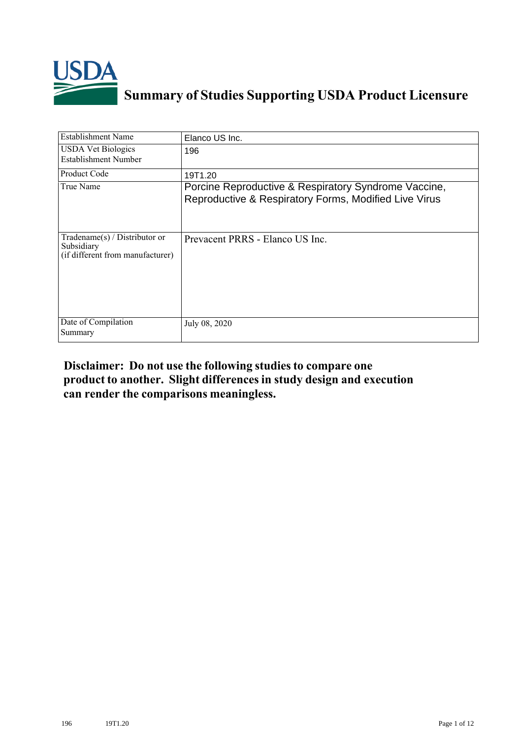

## **Summary of Studies Supporting USDA Product Licensure**

| <b>Establishment Name</b>                                                         | Elanco US Inc.                                                                                                |
|-----------------------------------------------------------------------------------|---------------------------------------------------------------------------------------------------------------|
| <b>USDA Vet Biologics</b><br>Establishment Number                                 | 196                                                                                                           |
| <b>Product Code</b>                                                               | 19T1.20                                                                                                       |
| True Name                                                                         | Porcine Reproductive & Respiratory Syndrome Vaccine,<br>Reproductive & Respiratory Forms, Modified Live Virus |
| $Tradename(s) / Distributor$ or<br>Subsidiary<br>(if different from manufacturer) | Prevacent PRRS - Elanco US Inc.                                                                               |
| Date of Compilation<br>Summary                                                    | July 08, 2020                                                                                                 |

## **Disclaimer: Do not use the following studiesto compare one product to another. Slight differencesin study design and execution can render the comparisons meaningless.**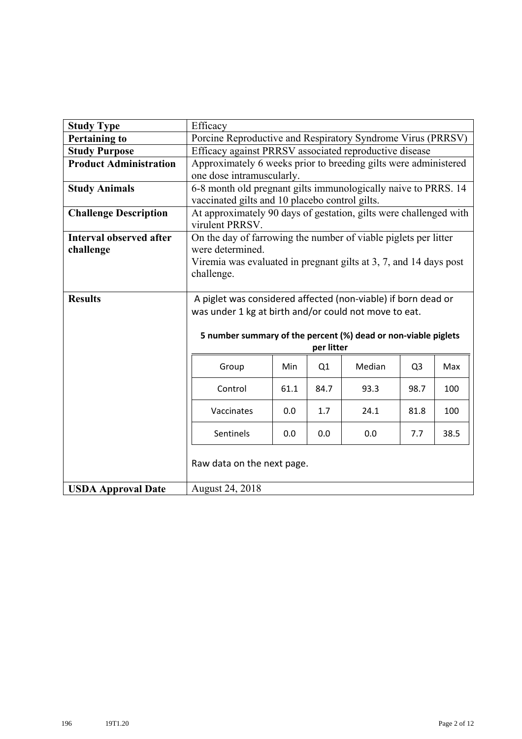| <b>Study Type</b>              | Efficacy                                                                             |      |            |        |                |     |
|--------------------------------|--------------------------------------------------------------------------------------|------|------------|--------|----------------|-----|
| <b>Pertaining to</b>           | Porcine Reproductive and Respiratory Syndrome Virus (PRRSV)                          |      |            |        |                |     |
| <b>Study Purpose</b>           | Efficacy against PRRSV associated reproductive disease                               |      |            |        |                |     |
| <b>Product Administration</b>  | Approximately 6 weeks prior to breeding gilts were administered                      |      |            |        |                |     |
|                                | one dose intramuscularly.                                                            |      |            |        |                |     |
| <b>Study Animals</b>           | 6-8 month old pregnant gilts immunologically naive to PRRS. 14                       |      |            |        |                |     |
|                                | vaccinated gilts and 10 placebo control gilts.                                       |      |            |        |                |     |
| <b>Challenge Description</b>   | At approximately 90 days of gestation, gilts were challenged with<br>virulent PRRSV. |      |            |        |                |     |
| <b>Interval observed after</b> | On the day of farrowing the number of viable piglets per litter                      |      |            |        |                |     |
| challenge                      | were determined.                                                                     |      |            |        |                |     |
|                                | Viremia was evaluated in pregnant gilts at 3, 7, and 14 days post                    |      |            |        |                |     |
|                                | challenge.                                                                           |      |            |        |                |     |
|                                |                                                                                      |      |            |        |                |     |
| <b>Results</b>                 | A piglet was considered affected (non-viable) if born dead or                        |      |            |        |                |     |
|                                | was under 1 kg at birth and/or could not move to eat.                                |      |            |        |                |     |
|                                |                                                                                      |      |            |        |                |     |
|                                | 5 number summary of the percent (%) dead or non-viable piglets                       |      | per litter |        |                |     |
|                                |                                                                                      |      |            |        |                |     |
|                                | Group                                                                                | Min  | Q1         | Median | Q <sub>3</sub> | Max |
|                                | Control                                                                              | 61.1 | 84.7       | 93.3   | 98.7           | 100 |
|                                | Vaccinates                                                                           | 0.0  | 1.7        | 24.1   | 81.8           | 100 |
|                                | Sentinels<br>0.0<br>38.5<br>0.0<br>0.0<br>7.7                                        |      |            |        |                |     |
|                                | Raw data on the next page.                                                           |      |            |        |                |     |
| <b>USDA Approval Date</b>      | August 24, 2018                                                                      |      |            |        |                |     |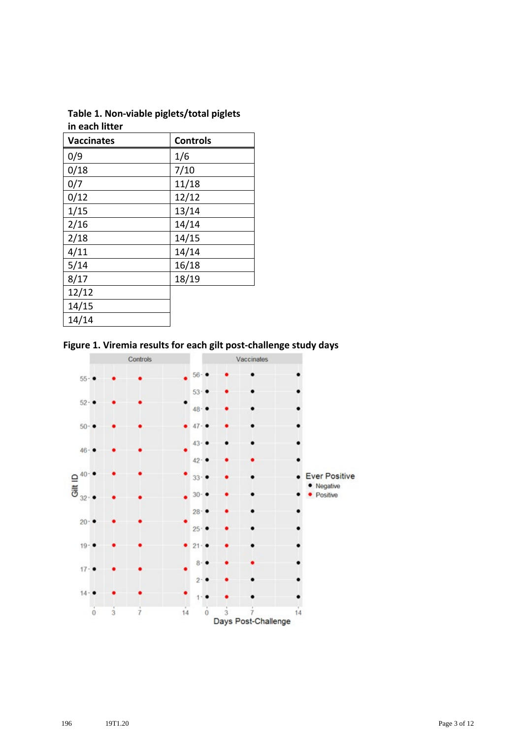| Table 1. Non-viable piglets/total piglets |  |
|-------------------------------------------|--|
| in each litter                            |  |

| <b>Vaccinates</b> | <b>Controls</b> |
|-------------------|-----------------|
| 0/9               | 1/6             |
| 0/18              | 7/10            |
| 0/7               | 11/18           |
| 0/12              | 12/12           |
| 1/15              | 13/14           |
| 2/16              | 14/14           |
| 2/18              | 14/15           |
| 4/11              | 14/14           |
| 5/14              | 16/18           |
| 8/17              | 18/19           |
| 12/12             |                 |
| 14/15             |                 |
| 14/14             |                 |

**Figure 1. Viremia results for each gilt post-challenge study days**

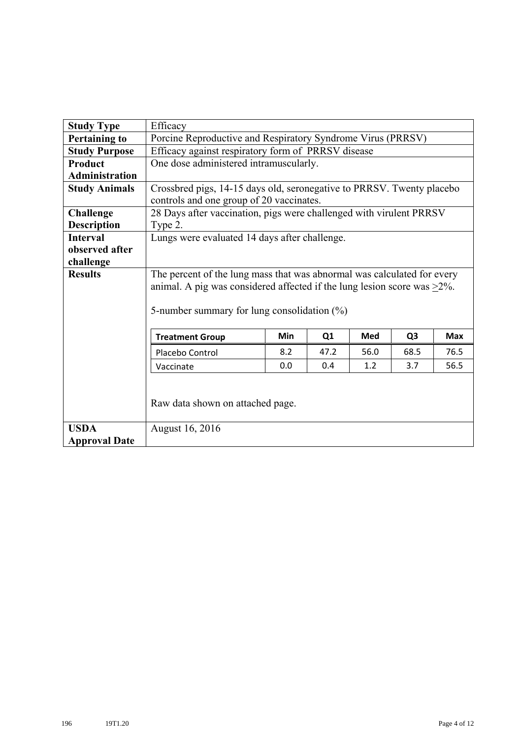| <b>Study Type</b>     | Efficacy                                                                        |                                                    |      |      |                |            |  |  |
|-----------------------|---------------------------------------------------------------------------------|----------------------------------------------------|------|------|----------------|------------|--|--|
| <b>Pertaining to</b>  | Porcine Reproductive and Respiratory Syndrome Virus (PRRSV)                     |                                                    |      |      |                |            |  |  |
| <b>Study Purpose</b>  |                                                                                 | Efficacy against respiratory form of PRRSV disease |      |      |                |            |  |  |
| <b>Product</b>        | One dose administered intramuscularly.                                          |                                                    |      |      |                |            |  |  |
| <b>Administration</b> |                                                                                 |                                                    |      |      |                |            |  |  |
| <b>Study Animals</b>  | Crossbred pigs, 14-15 days old, seronegative to PRRSV. Twenty placebo           |                                                    |      |      |                |            |  |  |
|                       | controls and one group of 20 vaccinates.                                        |                                                    |      |      |                |            |  |  |
| <b>Challenge</b>      | 28 Days after vaccination, pigs were challenged with virulent PRRSV             |                                                    |      |      |                |            |  |  |
| <b>Description</b>    | Type 2.                                                                         |                                                    |      |      |                |            |  |  |
| <b>Interval</b>       | Lungs were evaluated 14 days after challenge.                                   |                                                    |      |      |                |            |  |  |
| observed after        |                                                                                 |                                                    |      |      |                |            |  |  |
| challenge             |                                                                                 |                                                    |      |      |                |            |  |  |
| <b>Results</b>        | The percent of the lung mass that was abnormal was calculated for every         |                                                    |      |      |                |            |  |  |
|                       | animal. A pig was considered affected if the lung lesion score was $\geq 2\%$ . |                                                    |      |      |                |            |  |  |
|                       |                                                                                 |                                                    |      |      |                |            |  |  |
|                       | 5-number summary for lung consolidation $(\%)$                                  |                                                    |      |      |                |            |  |  |
|                       |                                                                                 |                                                    |      |      |                |            |  |  |
|                       | <b>Treatment Group</b>                                                          | Min                                                | Q1   | Med  | Q <sub>3</sub> | <b>Max</b> |  |  |
|                       | Placebo Control                                                                 | 8.2                                                | 47.2 | 56.0 | 68.5           | 76.5       |  |  |
|                       | Vaccinate                                                                       | 0.0                                                | 0.4  | 1.2  | 3.7            | 56.5       |  |  |
|                       |                                                                                 |                                                    |      |      |                |            |  |  |
|                       |                                                                                 |                                                    |      |      |                |            |  |  |
|                       | Raw data shown on attached page.                                                |                                                    |      |      |                |            |  |  |
|                       |                                                                                 |                                                    |      |      |                |            |  |  |
| <b>USDA</b>           | August 16, 2016                                                                 |                                                    |      |      |                |            |  |  |
| <b>Approval Date</b>  |                                                                                 |                                                    |      |      |                |            |  |  |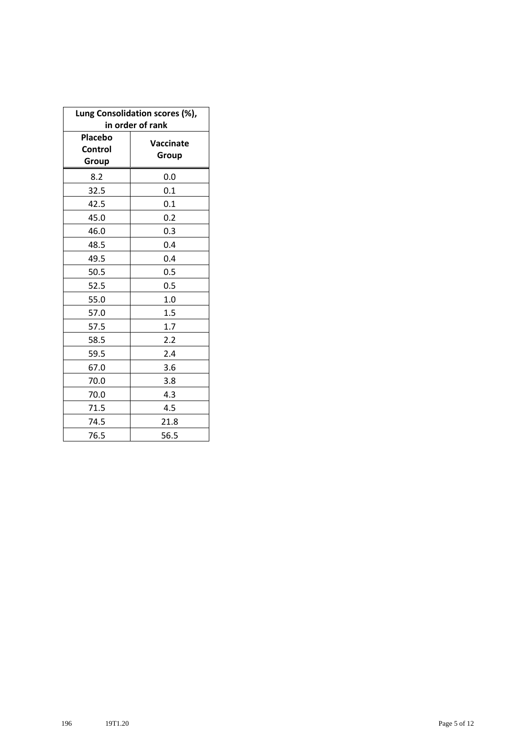| Lung Consolidation scores (%),<br>in order of rank |                    |  |  |  |  |
|----------------------------------------------------|--------------------|--|--|--|--|
| <b>Placebo</b><br>Control<br>Group                 | Vaccinate<br>Group |  |  |  |  |
| 8.2                                                | 0.0                |  |  |  |  |
| 32.5                                               | 0.1                |  |  |  |  |
| 42.5                                               | 0.1                |  |  |  |  |
| 45.0                                               | 0.2                |  |  |  |  |
| 46.0                                               | 0.3                |  |  |  |  |
| 48.5                                               | 0.4                |  |  |  |  |
| 49.5                                               | 0.4                |  |  |  |  |
| 50.5                                               | 0.5                |  |  |  |  |
| 52.5                                               | 0.5                |  |  |  |  |
| 55.0                                               | 1.0                |  |  |  |  |
| 57.0                                               | 1.5                |  |  |  |  |
| 57.5                                               | 1.7                |  |  |  |  |
| 58.5                                               | 2.2                |  |  |  |  |
| 59.5                                               | 2.4                |  |  |  |  |
| 67.0                                               | 3.6                |  |  |  |  |
| 70.0                                               | 3.8                |  |  |  |  |
| 70.0                                               | 4.3                |  |  |  |  |
| 71.5                                               | 4.5                |  |  |  |  |
| 74.5                                               | 21.8               |  |  |  |  |
| 76.5                                               | 56.5               |  |  |  |  |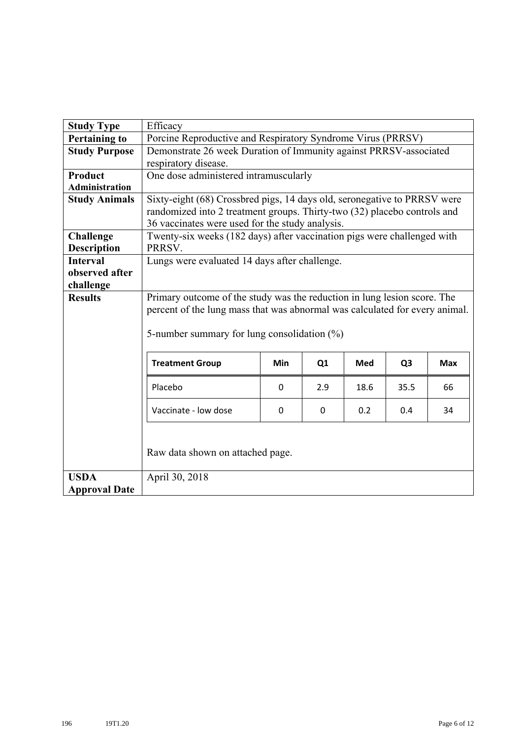| <b>Study Type</b>     | Efficacy                                                                    |                                                             |                |      |                |            |  |  |
|-----------------------|-----------------------------------------------------------------------------|-------------------------------------------------------------|----------------|------|----------------|------------|--|--|
| <b>Pertaining to</b>  |                                                                             | Porcine Reproductive and Respiratory Syndrome Virus (PRRSV) |                |      |                |            |  |  |
| <b>Study Purpose</b>  | Demonstrate 26 week Duration of Immunity against PRRSV-associated           |                                                             |                |      |                |            |  |  |
|                       | respiratory disease.                                                        |                                                             |                |      |                |            |  |  |
| <b>Product</b>        | One dose administered intramuscularly                                       |                                                             |                |      |                |            |  |  |
| <b>Administration</b> |                                                                             |                                                             |                |      |                |            |  |  |
| <b>Study Animals</b>  | Sixty-eight (68) Crossbred pigs, 14 days old, seronegative to PRRSV were    |                                                             |                |      |                |            |  |  |
|                       | randomized into 2 treatment groups. Thirty-two (32) placebo controls and    |                                                             |                |      |                |            |  |  |
|                       | 36 vaccinates were used for the study analysis.                             |                                                             |                |      |                |            |  |  |
| <b>Challenge</b>      | Twenty-six weeks (182 days) after vaccination pigs were challenged with     |                                                             |                |      |                |            |  |  |
| <b>Description</b>    | PRRSV.                                                                      |                                                             |                |      |                |            |  |  |
| <b>Interval</b>       | Lungs were evaluated 14 days after challenge.                               |                                                             |                |      |                |            |  |  |
| observed after        |                                                                             |                                                             |                |      |                |            |  |  |
| challenge             |                                                                             |                                                             |                |      |                |            |  |  |
| <b>Results</b>        | Primary outcome of the study was the reduction in lung lesion score. The    |                                                             |                |      |                |            |  |  |
|                       | percent of the lung mass that was abnormal was calculated for every animal. |                                                             |                |      |                |            |  |  |
|                       |                                                                             |                                                             |                |      |                |            |  |  |
|                       | 5-number summary for lung consolidation $(\%)$                              |                                                             |                |      |                |            |  |  |
|                       | <b>Treatment Group</b>                                                      | Min                                                         | Q <sub>1</sub> | Med  | Q <sub>3</sub> | <b>Max</b> |  |  |
|                       | Placebo                                                                     | $\Omega$                                                    | 2.9            | 18.6 | 35.5           | 66         |  |  |
|                       | Vaccinate - low dose                                                        | 0.2<br>0.4<br>$\Omega$<br>0<br>34                           |                |      |                |            |  |  |
|                       | Raw data shown on attached page.                                            |                                                             |                |      |                |            |  |  |
|                       |                                                                             |                                                             |                |      |                |            |  |  |
| <b>USDA</b>           | April 30, 2018                                                              |                                                             |                |      |                |            |  |  |
| <b>Approval Date</b>  |                                                                             |                                                             |                |      |                |            |  |  |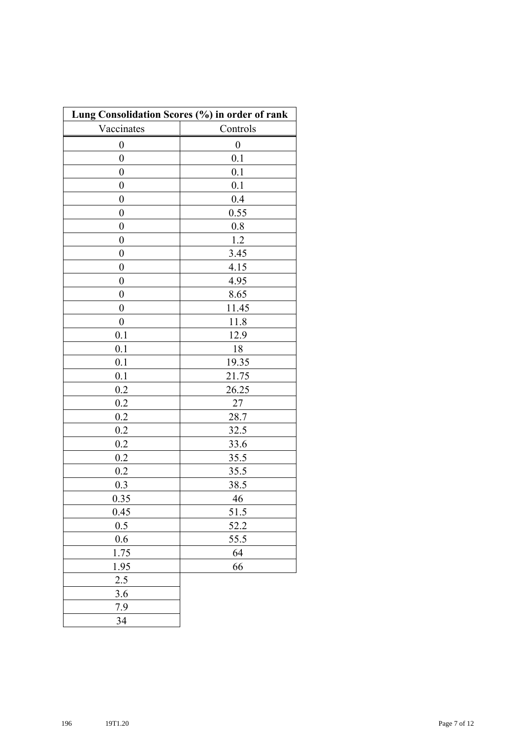| Lung Consolidation Scores (%) in order of rank |                  |  |  |  |
|------------------------------------------------|------------------|--|--|--|
| Vaccinates                                     | Controls         |  |  |  |
| 0                                              | $\boldsymbol{0}$ |  |  |  |
| $\overline{0}$                                 | 0.1              |  |  |  |
| $\boldsymbol{0}$                               | 0.1              |  |  |  |
| $\boldsymbol{0}$                               | 0.1              |  |  |  |
| $\boldsymbol{0}$                               | 0.4              |  |  |  |
| $\boldsymbol{0}$                               | 0.55             |  |  |  |
| $\boldsymbol{0}$                               | 0.8              |  |  |  |
| $\boldsymbol{0}$                               | 1.2              |  |  |  |
| $\boldsymbol{0}$                               | 3.45             |  |  |  |
| $\boldsymbol{0}$                               | 4.15             |  |  |  |
| $\boldsymbol{0}$                               | 4.95             |  |  |  |
| $\boldsymbol{0}$                               | 8.65             |  |  |  |
| 0                                              | 11.45            |  |  |  |
| $\boldsymbol{0}$                               | 11.8             |  |  |  |
| 0.1                                            | 12.9             |  |  |  |
| 0.1                                            | 18               |  |  |  |
| 0.1                                            | 19.35            |  |  |  |
| 0.1                                            | 21.75            |  |  |  |
| 0.2                                            | 26.25            |  |  |  |
| 0.2                                            | 27               |  |  |  |
| 0.2                                            | 28.7             |  |  |  |
| 0.2                                            | 32.5             |  |  |  |
| 0.2                                            | 33.6             |  |  |  |
| 0.2                                            | 35.5             |  |  |  |
| 0.2                                            | 35.5             |  |  |  |
| 0.3                                            | 38.5             |  |  |  |
| 0.35                                           | 46               |  |  |  |
| 0.45                                           | 51.5             |  |  |  |
| $0.5\,$                                        | 52.2             |  |  |  |
| 0.6                                            | 55.5             |  |  |  |
| 1.75                                           | 64               |  |  |  |
| 1.95                                           | 66               |  |  |  |
| 2.5                                            |                  |  |  |  |
| 3.6                                            |                  |  |  |  |
| 7.9                                            |                  |  |  |  |
| 34                                             |                  |  |  |  |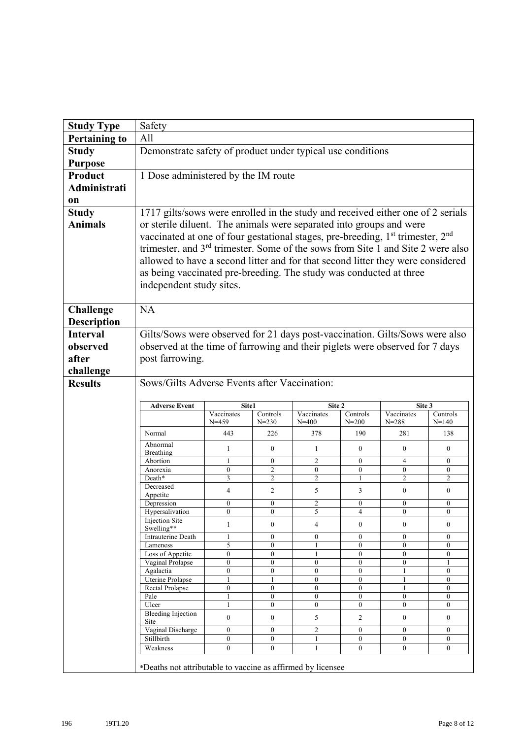| <b>Study Type</b>    | Safety                                                                                                 |                                                             |                                      |                                      |                                      |                                  |                                  |
|----------------------|--------------------------------------------------------------------------------------------------------|-------------------------------------------------------------|--------------------------------------|--------------------------------------|--------------------------------------|----------------------------------|----------------------------------|
| <b>Pertaining to</b> | All                                                                                                    |                                                             |                                      |                                      |                                      |                                  |                                  |
| <b>Study</b>         |                                                                                                        | Demonstrate safety of product under typical use conditions  |                                      |                                      |                                      |                                  |                                  |
| <b>Purpose</b>       |                                                                                                        |                                                             |                                      |                                      |                                      |                                  |                                  |
| <b>Product</b>       | 1 Dose administered by the IM route                                                                    |                                                             |                                      |                                      |                                      |                                  |                                  |
| <b>Administrati</b>  |                                                                                                        |                                                             |                                      |                                      |                                      |                                  |                                  |
|                      |                                                                                                        |                                                             |                                      |                                      |                                      |                                  |                                  |
| 0n                   |                                                                                                        |                                                             |                                      |                                      |                                      |                                  |                                  |
| <b>Study</b>         | 1717 gilts/sows were enrolled in the study and received either one of 2 serials                        |                                                             |                                      |                                      |                                      |                                  |                                  |
| <b>Animals</b>       | or sterile diluent. The animals were separated into groups and were                                    |                                                             |                                      |                                      |                                      |                                  |                                  |
|                      | vaccinated at one of four gestational stages, pre-breeding, 1 <sup>st</sup> trimester, 2 <sup>nd</sup> |                                                             |                                      |                                      |                                      |                                  |                                  |
|                      | trimester, and $3rd$ trimester. Some of the sows from Site 1 and Site 2 were also                      |                                                             |                                      |                                      |                                      |                                  |                                  |
|                      | allowed to have a second litter and for that second litter they were considered                        |                                                             |                                      |                                      |                                      |                                  |                                  |
|                      | as being vaccinated pre-breeding. The study was conducted at three                                     |                                                             |                                      |                                      |                                      |                                  |                                  |
|                      |                                                                                                        |                                                             |                                      |                                      |                                      |                                  |                                  |
|                      | independent study sites.                                                                               |                                                             |                                      |                                      |                                      |                                  |                                  |
|                      |                                                                                                        |                                                             |                                      |                                      |                                      |                                  |                                  |
| <b>Challenge</b>     | <b>NA</b>                                                                                              |                                                             |                                      |                                      |                                      |                                  |                                  |
| <b>Description</b>   |                                                                                                        |                                                             |                                      |                                      |                                      |                                  |                                  |
| <b>Interval</b>      | Gilts/Sows were observed for 21 days post-vaccination. Gilts/Sows were also                            |                                                             |                                      |                                      |                                      |                                  |                                  |
| observed             | observed at the time of farrowing and their piglets were observed for 7 days                           |                                                             |                                      |                                      |                                      |                                  |                                  |
| after                | post farrowing.                                                                                        |                                                             |                                      |                                      |                                      |                                  |                                  |
| challenge            |                                                                                                        |                                                             |                                      |                                      |                                      |                                  |                                  |
| <b>Results</b>       | Sows/Gilts Adverse Events after Vaccination:                                                           |                                                             |                                      |                                      |                                      |                                  |                                  |
|                      |                                                                                                        |                                                             |                                      |                                      |                                      |                                  |                                  |
|                      | <b>Adverse Event</b>                                                                                   | Site1                                                       |                                      | Site 2                               |                                      | Site 3                           |                                  |
|                      |                                                                                                        | Vaccinates                                                  | Controls                             | Vaccinates                           | Controls                             | Vaccinates                       | Controls                         |
|                      |                                                                                                        | $N = 459$                                                   | $N = 230$                            | $N = 400$                            | $N = 200$                            | $N = 288$                        | $N = 140$                        |
|                      | Normal                                                                                                 | 443                                                         | 226                                  | 378                                  | 190                                  | 281                              | 138                              |
|                      | Abnormal<br>Breathing                                                                                  | 1                                                           | $\mathbf{0}$                         | 1                                    | $\theta$                             | $\mathbf{0}$                     | $\theta$                         |
|                      | Abortion                                                                                               | 1                                                           | $\boldsymbol{0}$                     | $\overline{c}$                       | 0                                    | 4                                | $\boldsymbol{0}$                 |
|                      | Anorexia                                                                                               | $\mathbf{0}$                                                | $\overline{2}$                       | $\mathbf{0}$                         | $\mathbf{0}$                         | $\mathbf{0}$                     | $\mathbf{0}$                     |
|                      | Death*                                                                                                 | 3                                                           | $\overline{c}$                       | $\overline{c}$                       | 1                                    | $\overline{c}$                   | 2                                |
|                      | Decreased<br>Appetite                                                                                  | 4                                                           | 2                                    | 5                                    | 3                                    | $\mathbf{0}$                     | $\overline{0}$                   |
|                      | Depression                                                                                             | $\boldsymbol{0}$                                            | $\boldsymbol{0}$                     | 2                                    | $\boldsymbol{0}$                     | $\boldsymbol{0}$                 | $\boldsymbol{0}$                 |
|                      | Hypersalivation                                                                                        | $\boldsymbol{0}$                                            | $\overline{0}$                       | 5                                    | $\overline{\mathcal{L}}$             | $\boldsymbol{0}$                 | $\boldsymbol{0}$                 |
|                      | <b>Injection Site</b><br>Swelling**                                                                    | 1                                                           | $\boldsymbol{0}$                     | $\overline{4}$                       | $\boldsymbol{0}$                     | $\boldsymbol{0}$                 | $\boldsymbol{0}$                 |
|                      | Intrauterine Death                                                                                     | 1                                                           | $\mathbf{0}$                         | $\mathbf{0}$                         | $\mathbf{0}$                         | $\mathbf{0}$                     | $\overline{0}$                   |
|                      | Lameness                                                                                               | 5                                                           | $\boldsymbol{0}$                     | 1                                    | $\boldsymbol{0}$                     | $\boldsymbol{0}$                 | 0                                |
|                      | Loss of Appetite                                                                                       | $\overline{0}$                                              | $\mathbf{0}$                         | $\mathbf{1}$                         | $\overline{0}$                       | $\overline{0}$                   | $\overline{0}$                   |
|                      | Vaginal Prolapse<br>Agalactia                                                                          | $\boldsymbol{0}$<br>$\boldsymbol{0}$                        | $\boldsymbol{0}$<br>$\boldsymbol{0}$ | $\boldsymbol{0}$<br>$\boldsymbol{0}$ | $\boldsymbol{0}$<br>$\boldsymbol{0}$ | $\boldsymbol{0}$<br>1            | $\mathbf{1}$<br>$\boldsymbol{0}$ |
|                      | <b>Uterine Prolapse</b>                                                                                | 1                                                           | 1                                    | $\boldsymbol{0}$                     | $\boldsymbol{0}$                     | 1                                | $\boldsymbol{0}$                 |
|                      | Rectal Prolapse                                                                                        | 0                                                           | 0                                    | $\boldsymbol{0}$                     | $\boldsymbol{0}$                     | 1                                | $\boldsymbol{0}$                 |
|                      | Pale<br>Ulcer                                                                                          | 1<br>$\mathbf{1}$                                           | $\mathbf{0}$<br>$\boldsymbol{0}$     | $\boldsymbol{0}$<br>$\boldsymbol{0}$ | $\overline{0}$<br>$\boldsymbol{0}$   | $\mathbf{0}$<br>$\overline{0}$   | $\overline{0}$<br>$\overline{0}$ |
|                      | <b>Bleeding Injection</b>                                                                              |                                                             |                                      |                                      |                                      |                                  |                                  |
|                      | Site                                                                                                   | $\boldsymbol{0}$                                            | $\boldsymbol{0}$                     | 5                                    | 2                                    | $\boldsymbol{0}$                 | $\mathbf{0}$                     |
|                      | Vaginal Discharge                                                                                      | $\boldsymbol{0}$                                            | $\boldsymbol{0}$                     | 2                                    | $\boldsymbol{0}$                     | $\overline{0}$                   | $\boldsymbol{0}$                 |
|                      | Stillbirth<br>Weakness                                                                                 | $\overline{0}$<br>$\overline{0}$                            | $\overline{0}$<br>$\overline{0}$     | 1<br>$\mathbf{1}$                    | $\overline{0}$<br>$\overline{0}$     | $\overline{0}$<br>$\overline{0}$ | $\overline{0}$<br>$\overline{0}$ |
|                      |                                                                                                        |                                                             |                                      |                                      |                                      |                                  |                                  |
|                      |                                                                                                        | *Deaths not attributable to vaccine as affirmed by licensee |                                      |                                      |                                      |                                  |                                  |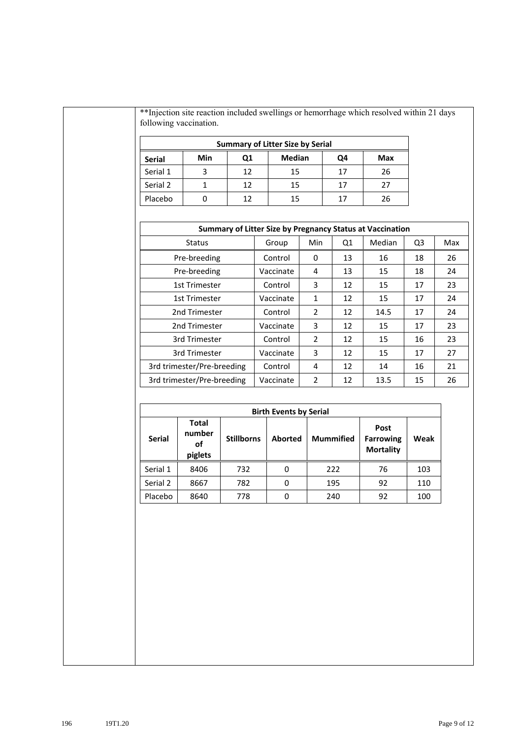\*\*Injection site reaction included swellings or hemorrhage which resolved within 21 days following vaccination.

| <b>Summary of Litter Size by Serial</b>                  |   |    |    |    |    |  |  |
|----------------------------------------------------------|---|----|----|----|----|--|--|
| <b>Median</b><br>Min<br>Max<br>Ο1<br>Q4<br><b>Serial</b> |   |    |    |    |    |  |  |
| Serial 1                                                 | 3 | 12 | 15 | 17 | 26 |  |  |
| Serial 2                                                 |   | 12 | 15 | 17 | 27 |  |  |
| Placebo                                                  |   | 12 | 15 | 17 | 26 |  |  |

| <b>Summary of Litter Size by Pregnancy Status at Vaccination</b> |           |              |    |        |                |     |  |  |
|------------------------------------------------------------------|-----------|--------------|----|--------|----------------|-----|--|--|
| <b>Status</b>                                                    | Group     | Min          | Q1 | Median | Q <sub>3</sub> | Max |  |  |
| Pre-breeding                                                     | Control   | 0            | 13 | 16     | 18             | 26  |  |  |
| Pre-breeding                                                     | Vaccinate | 4            | 13 | 15     | 18             | 24  |  |  |
| 1st Trimester                                                    | Control   | 3            | 12 | 15     | 17             | 23  |  |  |
| 1st Trimester                                                    | Vaccinate | $\mathbf{1}$ | 12 | 15     | 17             | 24  |  |  |
| 2nd Trimester                                                    | Control   | 2            | 12 | 14.5   | 17             | 24  |  |  |
| 2nd Trimester                                                    | Vaccinate | 3            | 12 | 15     | 17             | 23  |  |  |
| 3rd Trimester                                                    | Control   | 2            | 12 | 15     | 16             | 23  |  |  |
| 3rd Trimester                                                    | Vaccinate | 3            | 12 | 15     | 17             | 27  |  |  |
| 3rd trimester/Pre-breeding<br>Control                            |           | 4            | 12 | 14     | 16             | 21  |  |  |
| 3rd trimester/Pre-breeding                                       | Vaccinate | 2            | 12 | 13.5   | 15             | 26  |  |  |

| <b>Birth Events by Serial</b> |                                         |                   |                |                  |                                              |      |  |  |  |
|-------------------------------|-----------------------------------------|-------------------|----------------|------------------|----------------------------------------------|------|--|--|--|
| <b>Serial</b>                 | <b>Total</b><br>number<br>οf<br>piglets | <b>Stillborns</b> | <b>Aborted</b> | <b>Mummified</b> | Post<br><b>Farrowing</b><br><b>Mortality</b> | Weak |  |  |  |
| Serial 1                      | 8406                                    | 732               | 0              | 222              | 76                                           | 103  |  |  |  |
| Serial 2                      | 8667                                    | 782               | 0              | 195              | 92                                           | 110  |  |  |  |
| Placebo                       | 8640                                    | 778               | 0              | 240              | 92                                           | 100  |  |  |  |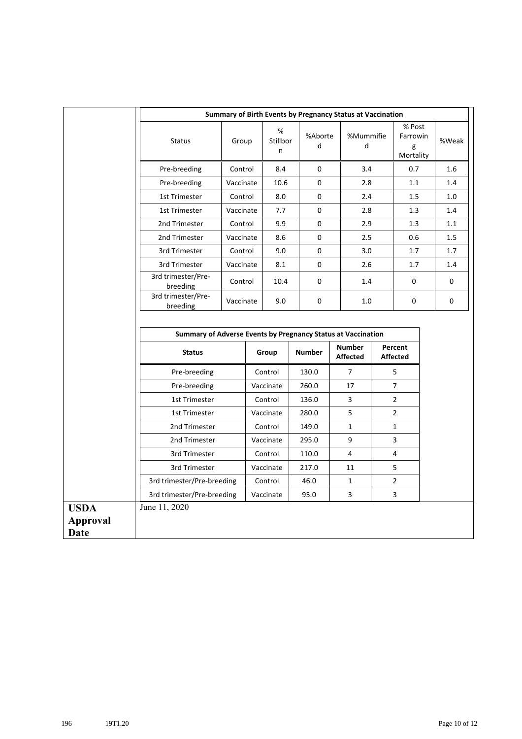|                         | Summary of Birth Events by Pregnancy Status at Vaccination   |           |           |                    |               |  |                                  |     |                                      |  |       |
|-------------------------|--------------------------------------------------------------|-----------|-----------|--------------------|---------------|--|----------------------------------|-----|--------------------------------------|--|-------|
|                         | <b>Status</b>                                                | Group     |           | %<br>Stillbor<br>n | %Aborte<br>d  |  | %Mummifie<br>d                   |     | % Post<br>Farrowin<br>g<br>Mortality |  | %Weak |
|                         | Pre-breeding                                                 | Control   |           | 8.4                | 0             |  |                                  | 3.4 |                                      |  | 1.6   |
|                         | Pre-breeding                                                 | Vaccinate |           | 10.6               | $\Omega$      |  | 2.8                              |     | 1.1                                  |  | 1.4   |
|                         | 1st Trimester                                                | Control   | 8.0       |                    | 0             |  | 2.4                              |     | 1.5                                  |  | 1.0   |
|                         | 1st Trimester                                                | Vaccinate | 7.7       |                    | 0             |  | 2.8                              |     | 1.3                                  |  | 1.4   |
|                         | 2nd Trimester                                                | Control   | 9.9       |                    | 0             |  | 2.9                              |     | 1.3                                  |  | 1.1   |
|                         | 2nd Trimester                                                | Vaccinate |           | 8.6                | $\Omega$      |  | $2.5\,$                          |     | 0.6                                  |  | 1.5   |
|                         | 3rd Trimester                                                | Control   |           | 9.0                | 0             |  | 3.0                              |     | 1.7                                  |  | 1.7   |
|                         | 3rd Trimester                                                | Vaccinate |           | 8.1                | 0             |  | 2.6                              |     | 1.7                                  |  | 1.4   |
|                         | 3rd trimester/Pre-<br>breeding                               | Control   |           | 10.4               | 0             |  | 1.4                              |     | 0                                    |  | 0     |
|                         | 3rd trimester/Pre-<br>breeding                               | Vaccinate |           | 9.0                | 0             |  | 1.0                              |     | 0                                    |  | 0     |
|                         | Summary of Adverse Events by Pregnancy Status at Vaccination |           |           |                    |               |  |                                  |     |                                      |  |       |
|                         | <b>Status</b>                                                |           |           | Group              | <b>Number</b> |  | <b>Number</b><br><b>Affected</b> |     | Percent<br><b>Affected</b>           |  |       |
|                         | Pre-breeding                                                 |           | Control   |                    | 130.0         |  | $\overline{7}$                   |     | 5                                    |  |       |
|                         | Pre-breeding                                                 |           |           | Vaccinate          | 260.0         |  | 17                               |     | $\overline{7}$                       |  |       |
|                         | 1st Trimester                                                |           |           | Control            | 136.0         |  | 3                                |     | $\overline{2}$                       |  |       |
|                         | 1st Trimester                                                |           | Vaccinate |                    | 280.0         |  | 5                                |     | $\overline{2}$                       |  |       |
|                         | 2nd Trimester                                                |           | Control   |                    | 149.0         |  | $\mathbf{1}$                     |     | $\mathbf{1}$                         |  |       |
|                         | 2nd Trimester                                                |           |           | Vaccinate          | 295.0         |  | 9                                |     | 3                                    |  |       |
|                         | 3rd Trimester                                                |           | Control   |                    | 110.0         |  | 4                                |     | 4                                    |  |       |
|                         | 3rd Trimester                                                |           | Vaccinate |                    | 217.0         |  | 11                               |     | 5                                    |  |       |
|                         | 3rd trimester/Pre-breeding                                   |           |           | Control            | 46.0          |  | $\mathbf{1}$                     |     | $\overline{2}$                       |  |       |
|                         | 3rd trimester/Pre-breeding                                   |           |           | Vaccinate          | 95.0          |  | 3                                |     | 3                                    |  |       |
| <b>USDA</b>             | June 11, 2020                                                |           |           |                    |               |  |                                  |     |                                      |  |       |
| <b>Approval</b><br>Date |                                                              |           |           |                    |               |  |                                  |     |                                      |  |       |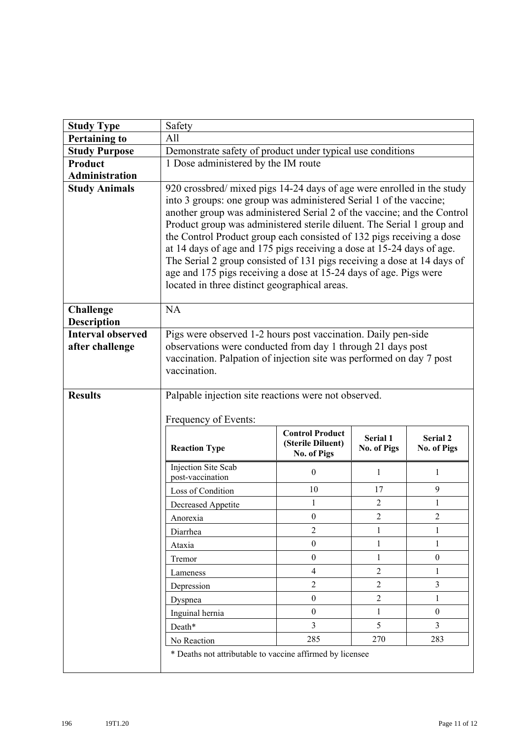| <b>Study Type</b>                           | Safety                                                                                                                                                                                                                                                                                                                                                                                                                                                                                                                                                                                                                                               |                                                            |                                |                                |  |  |  |
|---------------------------------------------|------------------------------------------------------------------------------------------------------------------------------------------------------------------------------------------------------------------------------------------------------------------------------------------------------------------------------------------------------------------------------------------------------------------------------------------------------------------------------------------------------------------------------------------------------------------------------------------------------------------------------------------------------|------------------------------------------------------------|--------------------------------|--------------------------------|--|--|--|
| <b>Pertaining to</b>                        | All                                                                                                                                                                                                                                                                                                                                                                                                                                                                                                                                                                                                                                                  |                                                            |                                |                                |  |  |  |
| <b>Study Purpose</b>                        | Demonstrate safety of product under typical use conditions                                                                                                                                                                                                                                                                                                                                                                                                                                                                                                                                                                                           |                                                            |                                |                                |  |  |  |
| Product                                     | 1 Dose administered by the IM route                                                                                                                                                                                                                                                                                                                                                                                                                                                                                                                                                                                                                  |                                                            |                                |                                |  |  |  |
| <b>Administration</b>                       |                                                                                                                                                                                                                                                                                                                                                                                                                                                                                                                                                                                                                                                      |                                                            |                                |                                |  |  |  |
| <b>Study Animals</b>                        | 920 crossbred/ mixed pigs 14-24 days of age were enrolled in the study<br>into 3 groups: one group was administered Serial 1 of the vaccine;<br>another group was administered Serial 2 of the vaccine; and the Control<br>Product group was administered sterile diluent. The Serial 1 group and<br>the Control Product group each consisted of 132 pigs receiving a dose<br>at 14 days of age and 175 pigs receiving a dose at 15-24 days of age.<br>The Serial 2 group consisted of 131 pigs receiving a dose at 14 days of<br>age and 175 pigs receiving a dose at 15-24 days of age. Pigs were<br>located in three distinct geographical areas. |                                                            |                                |                                |  |  |  |
| <b>Challenge</b><br><b>Description</b>      | <b>NA</b>                                                                                                                                                                                                                                                                                                                                                                                                                                                                                                                                                                                                                                            |                                                            |                                |                                |  |  |  |
| <b>Interval observed</b><br>after challenge | Pigs were observed 1-2 hours post vaccination. Daily pen-side<br>observations were conducted from day 1 through 21 days post<br>vaccination. Palpation of injection site was performed on day 7 post<br>vaccination.                                                                                                                                                                                                                                                                                                                                                                                                                                 |                                                            |                                |                                |  |  |  |
| <b>Results</b>                              | Palpable injection site reactions were not observed.<br>Frequency of Events:                                                                                                                                                                                                                                                                                                                                                                                                                                                                                                                                                                         |                                                            |                                |                                |  |  |  |
|                                             | <b>Reaction Type</b>                                                                                                                                                                                                                                                                                                                                                                                                                                                                                                                                                                                                                                 | <b>Control Product</b><br>(Sterile Diluent)<br>No. of Pigs | <b>Serial 1</b><br>No. of Pigs | <b>Serial 2</b><br>No. of Pigs |  |  |  |
|                                             | Injection Site Scab<br>post-vaccination                                                                                                                                                                                                                                                                                                                                                                                                                                                                                                                                                                                                              | $\mathbf{0}$                                               | 1                              | 1                              |  |  |  |
|                                             | Loss of Condition                                                                                                                                                                                                                                                                                                                                                                                                                                                                                                                                                                                                                                    | 10                                                         | 17                             | 9                              |  |  |  |
|                                             | Decreased Appetite                                                                                                                                                                                                                                                                                                                                                                                                                                                                                                                                                                                                                                   | 1                                                          | $\overline{2}$                 | 1                              |  |  |  |
|                                             | Anorexia                                                                                                                                                                                                                                                                                                                                                                                                                                                                                                                                                                                                                                             | $\boldsymbol{0}$                                           | $\overline{2}$                 | $\overline{c}$                 |  |  |  |
|                                             | Diarrhea                                                                                                                                                                                                                                                                                                                                                                                                                                                                                                                                                                                                                                             | $\overline{2}$                                             | 1                              | 1                              |  |  |  |
|                                             | Ataxia                                                                                                                                                                                                                                                                                                                                                                                                                                                                                                                                                                                                                                               | $\boldsymbol{0}$                                           | $\mathbf{1}$                   | $\mathbf{1}$                   |  |  |  |
|                                             | Tremor                                                                                                                                                                                                                                                                                                                                                                                                                                                                                                                                                                                                                                               | $\boldsymbol{0}$                                           | $\mathbf{1}$                   | $\boldsymbol{0}$               |  |  |  |
|                                             | Lameness                                                                                                                                                                                                                                                                                                                                                                                                                                                                                                                                                                                                                                             | $\overline{4}$                                             | $\overline{2}$                 | $\mathbf{1}$                   |  |  |  |
|                                             | Depression                                                                                                                                                                                                                                                                                                                                                                                                                                                                                                                                                                                                                                           | $\overline{2}$                                             | $\overline{2}$                 | $\overline{3}$                 |  |  |  |
|                                             | Dyspnea                                                                                                                                                                                                                                                                                                                                                                                                                                                                                                                                                                                                                                              | $\mathbf{0}$                                               | $\overline{2}$                 | $\mathbf{1}$                   |  |  |  |
|                                             | Inguinal hernia                                                                                                                                                                                                                                                                                                                                                                                                                                                                                                                                                                                                                                      | $\mathbf{0}$                                               | $\mathbf{1}$                   | $\overline{0}$                 |  |  |  |
|                                             | Death*                                                                                                                                                                                                                                                                                                                                                                                                                                                                                                                                                                                                                                               | $\overline{3}$                                             | 5                              | 3                              |  |  |  |
|                                             | No Reaction                                                                                                                                                                                                                                                                                                                                                                                                                                                                                                                                                                                                                                          | 285                                                        | 270                            | 283                            |  |  |  |
|                                             |                                                                                                                                                                                                                                                                                                                                                                                                                                                                                                                                                                                                                                                      |                                                            |                                |                                |  |  |  |